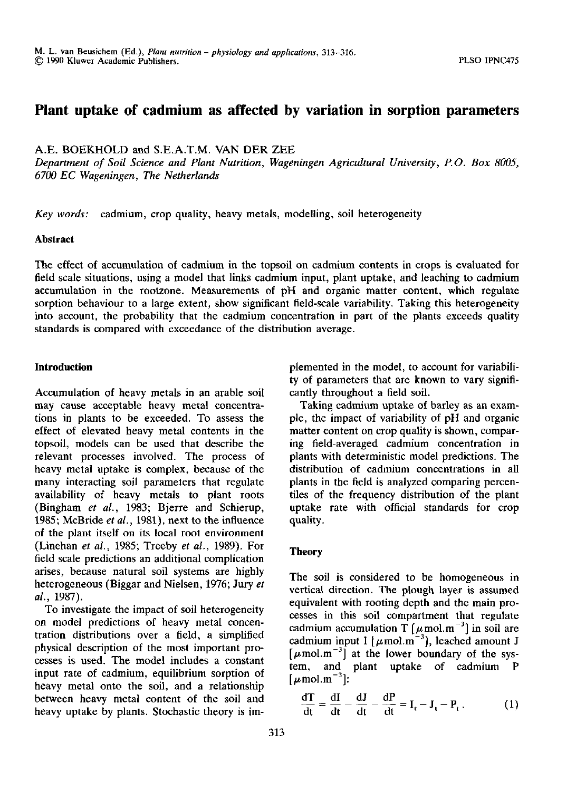## Plant uptake of cadmium as affected by variation in sorption parameters

A.E. BOEKHOLD and S.E.A.T.M. VAN DER ZEE

*Department of Soil Science and Plant Nutrition, Wageningen Agricultural University, P.O. Box 8005, 6700 EC Wageningen, The Netherlands* 

*Key words:* cadmium, crop quality, heavy metals, modelling, soil heterogeneity

#### **Abstract**

The effect of accumulation of cadmium in the topsoil on cadmium contents in crops is evaluated for field scale situations, using a model that links cadmium input, plant uptake, and leaching to cadmium accumulation in the rootzone. Measurements of pH and organic matter content, which regulate sorption behaviour to a large extent, show significant field-scale variability. Taking this heterogeneity into account, the probability that the cadmium concentration in part of the plants exceeds quality standards is compared with exceedance of the distribution average.

#### **Introduction**

Accumulation of heavy metals in an arable soil may cause acceptable heavy metal concentrations in plants to be exceeded. To assess the effect of elevated heavy metal contents in the topsoil, models can be used that describe the relevant processes involved. The process of heavy metal uptake is complex, because of the many interacting soil parameters that regulate availability of heavy metals to plant roots (Bingham *et al.,* 1983; Bjerre and Schierup, 1985; McBride *et al.,* 1981), next to the influence of the plant itself on its local root environment (Linehan *et al.,* 1985; Treeby *et al.,* 1989). For field scale predictions an additional complication arises, because natural soil systems are highly heterogeneous (Biggar and Nielsen, 1976; Jury *et al.,* 1987).

To investigate the impact of soil heterogeneity on model predictions of heavy metal concentration distributions over a field, a simplified physical description of the most important processes is used. The model includes a constant input rate of cadmium, equilibrium sorption of heavy metal onto the soil, and a relationship between heavy metal content of the soil and heavy uptake by plants. Stochastic theory is implemented in the model, to account for variability of parameters that are known to vary significantly throughout a field soil.

Taking cadmium uptake of barley as an example, the impact of variability of pH and organic matter content on crop quality is shown, comparing field-averaged cadmium concentration in plants with deterministic model predictions. The distribution of cadmium concentrations in all plants in the field is analyzed comparing percentiles of the frequency distribution of the plant uptake rate with official standards for crop quality.

### **Theory**

The soil is considered to be homogeneous in vertical direction. The plough layer is assumed equivalent with rooting depth and the main processes in this soil compartment that regulate cadmium accumulation T  $[\mu \text{mol} \cdot \text{m}^{-3}]$  in soil cadmium input I [ $\mu$ mol.m<sup>-3</sup>], leached amount  $[\mu \text{mol.m}^{-3}]$  at the lower boundary of the system, and plant uptake of cadmium P  $\mu$ mol.m<sup>-3</sup>]:

$$
\frac{dT}{dt} = \frac{dI}{dt} - \frac{dJ}{dt} - \frac{dP}{dt} = I_t - J_t - P_t.
$$
 (1)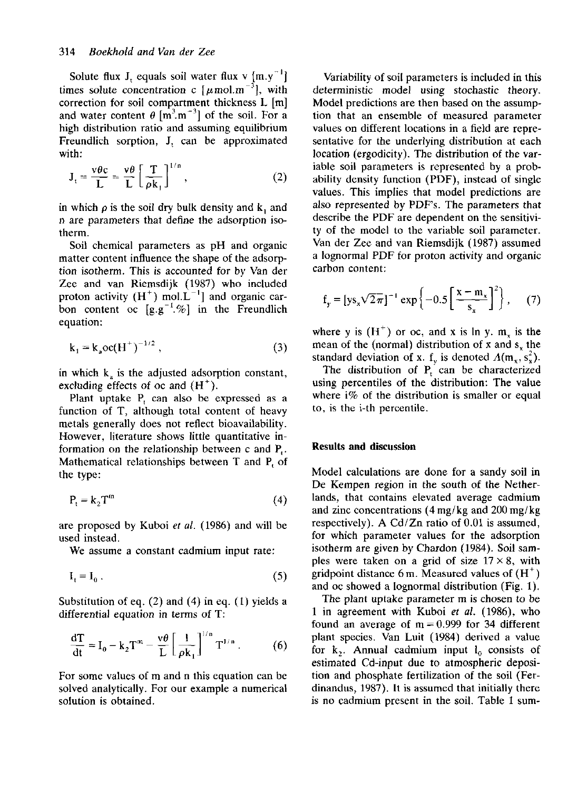Solute flux  $J_t$  equals soil water flux v [m. times solute concentration c  $[\mu \text{mol} \cdot \text{m}^{-3}]$ , w correction for soil compartment thickness L [m] and water content  $\theta$  [m<sup>3</sup>.m<sup>-3</sup>] of the soil. high distribution ratio and assuming equilibrium Freundlich sorption, J, can be approxima with:

$$
J_{t} = \frac{v\theta c}{L} = \frac{v\theta}{L} \left[ \frac{T}{\rho k_{1}} \right]^{1/n}, \qquad (2)
$$

in which  $\rho$  is the soil dry bulk density and  $k_1$  and n are parameters that define the adsorption isotherm.

Soil chemical parameters as pH and organic matter content influence the shape of the adsorption isotherm. This is accounted for by Van der Zee and van Riemsdijk (1987) who included proton activity  $(H^+)$  mol. $L^{-1}$ ] and organic bon content oc  $[g.g^{-1}.\%]$  in the Freund equation:

$$
k_1 = k_2 \, \text{oc}(\text{H}^+)^{-1/2} \,,\tag{3}
$$

in which  $k_a$  is the adjusted adsorption constant, excluding effects of oc and (H

Plant uptake  $P_t$  can also be expressed function of T, although total content of heavy metals generally does not reflect bioavailability. However, literature shows little quantitative information on the relationship between c and Mathematical relationships between  $T$  and  $F$ the type:

$$
P_t = k_2 T^m \tag{4}
$$

are proposed by Kuboi *et al.* (1986) and will be used instead.

We assume a constant cadmium input rate:

$$
\mathbf{I}_{t} = \mathbf{I}_{0} \tag{5}
$$

Substitution of eq.  $(2)$  and  $(4)$  in eq.  $(1)$  yields a differential equation in terms of T:

$$
\frac{dT}{dt} = I_0 - k_2 T^m - \frac{v\theta}{L} \left[ \frac{1}{\rho k_1} \right]^{1/n} T^{1/n} \,. \tag{6}
$$

For some values of m and n this equation can be solved analytically. For our example a numerical solution is obtained.

Variability of soil parameters is included in this deterministic model using stochastic theory. Model predictions are then based on the assumption that an ensemble of measured parameter values on different locations in a field are representative for the underlying distribution at each location (ergodicity). The distribution of the variable soil parameters is represented by a probability density function (PDF), instead of single values. This implies that model predictions are also represented by PDF's. The parameters that describe the PDF are dependent on the sensitivity of the model to the variable soil parameter. Van der Zee and van Riemsdijk (1987) assumed a lognormal PDF for proton activity and organic carbon content:

$$
f_y = [ys_x \sqrt{2\pi}]^{-1} \exp\left\{-0.5\left[\frac{x - m_x}{s_x}\right]^2\right\},\qquad(7)
$$

where y is  $(H<sup>+</sup>)$  or oc, and x is ln y. m mean of the (normal) distribution of x and  $s_x$  the standard deviation of x. f<sub>y</sub> is denoted  $\Lambda(m_x, s_x^2)$ .

The distribution of  $P_t$  can be characteri using percentiles of the distribution: The value where  $i\%$  of the distribution is smaller or equal to, is the i-th percentile.

#### **Results and discussion**

Model calculations are done for a sandy soil in De Kempen region in the south of the Netherlands, that contains elevated average cadmium and zinc concentrations (4mg/kg and 200mg/kg respectively). A Cd/Zn ratio of 0.01 is assumed, for which parameter values for the adsorption isotherm are given by Chardon (1984). Soil samples were taken on a grid of size  $17 \times 8$ , with eridpoint distance 6 m. Measured values of  $\ell$ and oc showed a lognormal distribution (Fig. 1).

The plant uptake parameter m is chosen to be 1 in agreement with Kuboi *et al.* (1986), who found an average of  $m = 0.999$  for 34 different plant species. Van Luit (1984) derived a value for  $k_2$ . Annual cadmium input  $l_0$  consists of estimated Cd-input due to atmospheric deposition and phosphate fertilization of the soil (Ferdinandus, 1987). It is assumed that initially there is no cadmium present in the soil. Table 1 sum-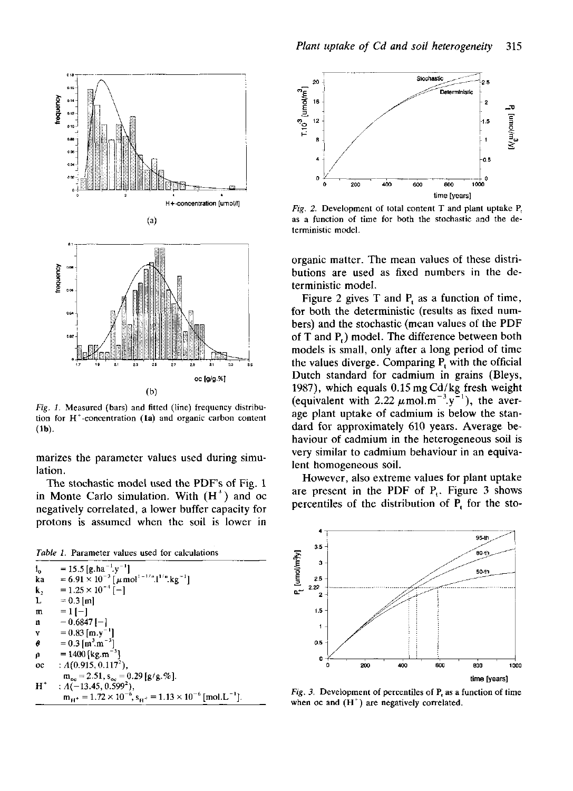

*Fig. 1.* Measured (bars) and fitted (line) frequency distribution for  $H^+$ -concentration (la) and organic carbon con (lb).

marizes the parameter values used during simulation.

The stochastic model used the PDF's of Fig. 1 in Monte Carlo simulation. With  $(H<sup>+</sup>)$  and negatively correlated, a lower buffer capacity for protons is assumed when the soil is lower in







*Fig. 2.* Development of total content  $T$  and plant uptake  $P$ , as a function of time for both the stochastic and the deterministic model.

organic matter. The mean values of these distributions are used as fixed numbers in the deterministic model.

Figure 2 gives T and  $P_t$  as a function of for both the deterministic (results as fixed numbers) and the stochastic (mean values of the PDF of  $T$  and  $P$ .) model. The difference between both models is small, only after a long period of time the values diverge. Comparing  $P_t$  with the off Dutch standard for cadmium in grains (Bleys, 1987), which equals 0.15mgCd/kg fresh weight (equivalent with 2.22  $\mu$  mol.m<sup>-3</sup>.y<sup>-1</sup>), the average plant uptake of cadmium is below the standard for approximately 610 years. Average behaviour of cadmium in the heterogeneous soil is very similar to cadmium behaviour in an equivalent homogeneous soil.

However, also extreme values for plant uptake are present in the PDF of  $P_t$ . Figure 3 s percentiles of the distribution of  $P_t$  for the



*Fig. 3.* Development of percentiles of  $P_t$  as a function of when oc and  $(H<sup>+</sup>)$  are negatively correlated.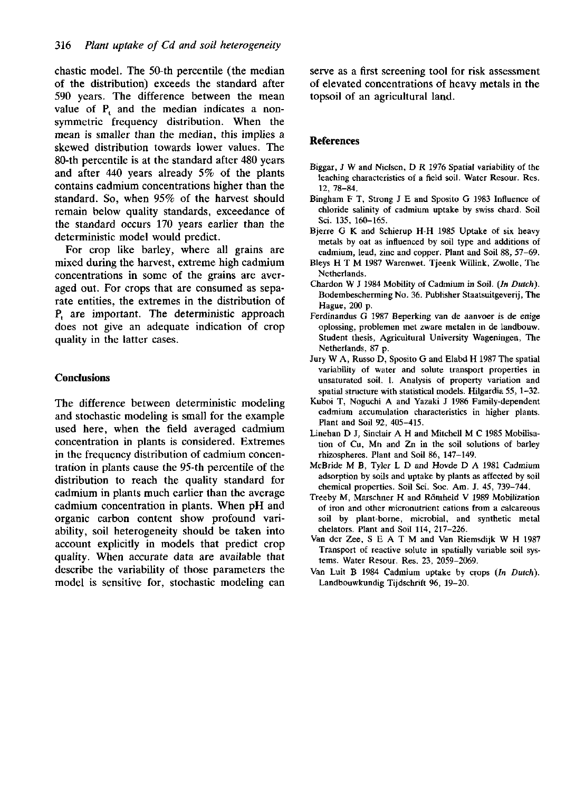chastic model. The 50-th percentile (the median of the distribution) exceeds the standard after 590 years. The difference between the mean value of  $P_t$  and the median indicates a symmetric frequency distribution. When the mean is smaller than the median, this implies a skewed distribution towards lower values. The 80-th percentile is at the standard after 480 years and after 440 years already 5% of the plants contains cadmium concentrations higher than the standard. So, when 95% of the harvest should remain below quality standards, exceedance of the standard occurs 170 years earlier than the deterministic model would predict.

For crop like barley, where all grains are mixed during the harvest, extreme high cadmium concentrations in some of the grains are averaged out. For crops that are consumed as separate entities, the extremes in the distribution of  $P_t$  are important. The deterministic approach does not give an adequate indication of crop quality in the latter cases.

## **Conclusions**

The difference between deterministic modeling and stochastic modeling is small for the example used here, when the field averaged cadmium concentration in plants is considered. Extremes in the frequency distribution of cadmium concentration in plants cause the 95-th percentile of the distribution to reach the quality standard for cadmium in plants much earlier than the average cadmium concentration in plants. When pH and organic carbon content show profound variability, soil heterogeneity should be taken into account explicitly in models that predict crop quality. When accurate data are available that describe the variability of those parameters the model is sensitive for, stochastic modeling can serve as a first screening tool for risk assessment of elevated concentrations of heavy metals in the topsoil of an agricultural land.

## **References**

- Biggar, J W and Nielsen, D R 1976 Spatial variability of the leaching characteristics of a field soil. Water Resour. Res. 12, 78-84.
- Bingham F T, Strong J E and Sposito G 1983 Influence of chloride salinity of cadmium uptake by swiss chard. Soil Sei. 135, 160-165.
- Bjerre G K and Schierup H-H 1985 Uptake of six heavy metals by oat as influenced by soil type and additions of cadmium, lead, zinc and copper. Plant and Soil 88, 57-69.
- Bleys HT M 1987 Warenwet. Tjeenk Willink, Zwolle, The Netherlands.
- Chardon W J 1984 Mobility of Cadmium in Soil. *(In Dutch).*  Bodembescherming No. 36. Publisher Staatsuitgeverij, The Hague, 200 p.
- Ferdinandus G 1987 Beperking van de aanvoer is de enige oplossing, problemen met zware metalen in de landbouw. Student thesis, Agricultural University Wageningen, The Netherlands, 87 p.
- Jury W A, Russo D, Sposito G and Elabd H 1987 The spatial variability of water and solute transport properties in unsaturated soil. 1. Analysis of property variation and spatial structure with statistical models. Hilgardia 55, 1-32.
- Kuboi T, Noguchi A and Yazaki J 1986 Family-dependent cadmium accumulation characteristics in higher plants. Plant and Soil 92, 405-415.
- Linehan D J, Sinclair A H and Mitchell M C 1985 Mobilisation of Cu, Mn and Zn in the soil solutions of barley rhizospheres. Plant and Soil 86, 147-149.
- McBride M B, Tyler L D and Hovde D A 1981 Cadmium adsorption by soils and uptake by plants as affected by soil chemical properties. Soil Sei. Soc. Am. J. 45, 739-744.
- Treeby M, Marschner H and Römheld V 1989 Mobilization of iron and other micronutrient cations from a calcareous soil by plant-borne, microbial, and synthetic metal chelators. Plant and Soil 114, 217-226.
- Van der Zee, S E A T M and Van Riemsdijk W H 1987 Transport of reactive solute in spatially variable soil systems. Water Resour. Res. 23, 2059-2069.
- Van Luit B 1984 Cadmium uptake by crops *(In Dutch).*  Landbouwkundig Tijdschrift 96, 19-20.